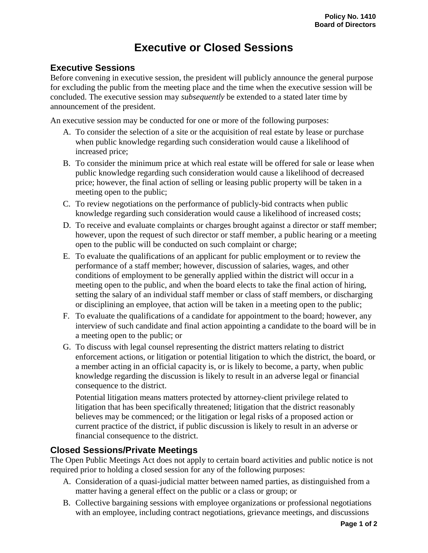## **Executive or Closed Sessions**

## **Executive Sessions**

Before convening in executive session, the president will publicly announce the general purpose for excluding the public from the meeting place and the time when the executive session will be concluded. The executive session may *subsequently* be extended to a stated later time by announcement of the president.

An executive session may be conducted for one or more of the following purposes:

- A. To consider the selection of a site or the acquisition of real estate by lease or purchase when public knowledge regarding such consideration would cause a likelihood of increased price;
- B. To consider the minimum price at which real estate will be offered for sale or lease when public knowledge regarding such consideration would cause a likelihood of decreased price; however, the final action of selling or leasing public property will be taken in a meeting open to the public;
- C. To review negotiations on the performance of publicly-bid contracts when public knowledge regarding such consideration would cause a likelihood of increased costs;
- D. To receive and evaluate complaints or charges brought against a director or staff member; however, upon the request of such director or staff member, a public hearing or a meeting open to the public will be conducted on such complaint or charge;
- E. To evaluate the qualifications of an applicant for public employment or to review the performance of a staff member; however, discussion of salaries, wages, and other conditions of employment to be generally applied within the district will occur in a meeting open to the public, and when the board elects to take the final action of hiring, setting the salary of an individual staff member or class of staff members, or discharging or disciplining an employee, that action will be taken in a meeting open to the public;
- F. To evaluate the qualifications of a candidate for appointment to the board; however, any interview of such candidate and final action appointing a candidate to the board will be in a meeting open to the public; or
- G. To discuss with legal counsel representing the district matters relating to district enforcement actions, or litigation or potential litigation to which the district, the board, or a member acting in an official capacity is, or is likely to become, a party, when public knowledge regarding the discussion is likely to result in an adverse legal or financial consequence to the district.

Potential litigation means matters protected by attorney-client privilege related to litigation that has been specifically threatened; litigation that the district reasonably believes may be commenced; or the litigation or legal risks of a proposed action or current practice of the district, if public discussion is likely to result in an adverse or financial consequence to the district.

## **Closed Sessions/Private Meetings**

The Open Public Meetings Act does not apply to certain board activities and public notice is not required prior to holding a closed session for any of the following purposes:

- A. Consideration of a quasi-judicial matter between named parties, as distinguished from a matter having a general effect on the public or a class or group; or
- B. Collective bargaining sessions with employee organizations or professional negotiations with an employee, including contract negotiations, grievance meetings, and discussions